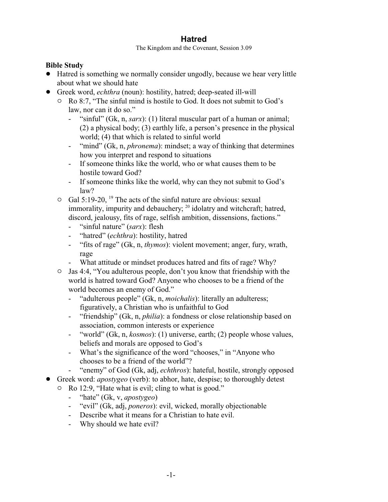## **Hatred**

The Kingdom and the Covenant, Session 3.09

## **Bible Study**

- ! Hatred is something we normally consider ungodly, because we hear very little about what we should hate
- ! Greek word, *echthra* (noun): hostility, hatred; deep-seated ill-will
	- $\circ$  Ro 8:7, "The sinful mind is hostile to God. It does not submit to God's law, nor can it do so."
		- "sinful" (Gk, n, *sarx*): (1) literal muscular part of a human or animal; (2) a physical body; (3) earthly life, a person's presence in the physical world; (4) that which is related to sinful world
		- "mind" (Gk, n, *phronema*): mindset; a way of thinking that determines how you interpret and respond to situations
		- If someone thinks like the world, who or what causes them to be hostile toward God?
		- If someone thinks like the world, why can they not submit to God's law?
	- $\circ$  Gal 5:19-20, <sup>19</sup> The acts of the sinful nature are obvious: sexual immorality, impurity and debauchery; <sup>20</sup> idolatry and witchcraft; hatred, discord, jealousy, fits of rage, selfish ambition, dissensions, factions."
		- "sinful nature" (*sarx*): flesh
		- "hatred" (*echthra*): hostility, hatred
		- "fits of rage" (Gk, n, *thymos*): violent movement; anger, fury, wrath, rage
		- What attitude or mindset produces hatred and fits of rage? Why?
	- $\circ$  Jas 4:4, "You adulterous people, don't you know that friendship with the world is hatred toward God? Anyone who chooses to be a friend of the world becomes an enemy of God."
		- "adulterous people" (Gk, n, *moichalis*): literally an adulteress; figuratively, a Christian who is unfaithful to God
		- "friendship" (Gk, n, *philia*): a fondness or close relationship based on association, common interests or experience
		- "world" (Gk, n, *kosmos*): (1) universe, earth; (2) people whose values, beliefs and morals are opposed to God's
		- What's the significance of the word "chooses," in "Anyone who chooses to be a friend of the world"?
		- "enemy" of God (Gk, adj, *echthros*): hateful, hostile, strongly opposed
- ! Greek word: *apostygeo* (verb): to abhor, hate, despise; to thoroughly detest
	- Ro 12:9, "Hate what is evil; cling to what is good."
		- "hate" (Gk, v, *apostygeo*)
		- "evil" (Gk, adj, *poneros*): evil, wicked, morally objectionable
		- Describe what it means for a Christian to hate evil.
		- Why should we hate evil?